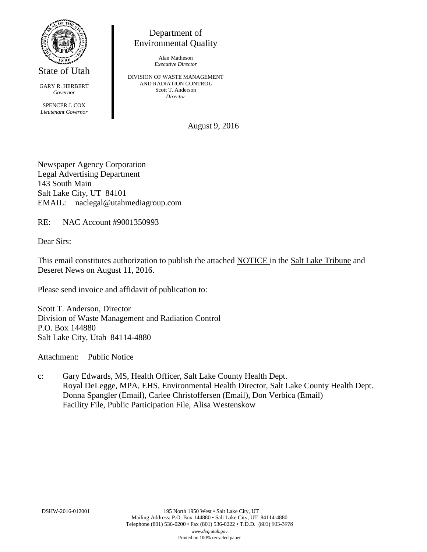

State of Utah

GARY R. HERBERT *Governor* SPENCER J. COX *Lieutenant Governor*

Department of Environmental Quality

> Alan Matheson *Executive Director*

DIVISION OF WASTE MANAGEMENT AND RADIATION CONTROL Scott T. Anderson *Director*

August 9, 2016

Newspaper Agency Corporation Legal Advertising Department 143 South Main Salt Lake City, UT 84101 EMAIL: naclegal@utahmediagroup.com

RE: NAC Account #9001350993

Dear Sirs:

This email constitutes authorization to publish the attached NOTICE in the Salt Lake Tribune and Deseret News on August 11, 2016.

Please send invoice and affidavit of publication to:

Scott T. Anderson, Director Division of Waste Management and Radiation Control P.O. Box 144880 Salt Lake City, Utah 84114-4880

Attachment: Public Notice

c: Gary Edwards, MS, Health Officer, Salt Lake County Health Dept. Royal DeLegge, MPA, EHS, Environmental Health Director, Salt Lake County Health Dept. Donna Spangler (Email), Carlee Christoffersen (Email), Don Verbica (Email) Facility File, Public Participation File, Alisa Westenskow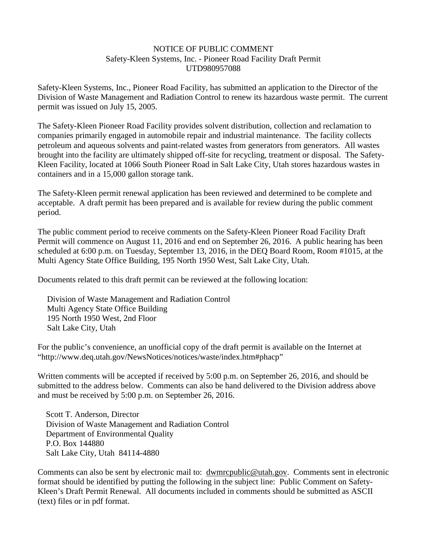#### NOTICE OF PUBLIC COMMENT Safety-Kleen Systems, Inc. - Pioneer Road Facility Draft Permit UTD980957088

Safety-Kleen Systems, Inc., Pioneer Road Facility, has submitted an application to the Director of the Division of Waste Management and Radiation Control to renew its hazardous waste permit. The current permit was issued on July 15, 2005.

The Safety-Kleen Pioneer Road Facility provides solvent distribution, collection and reclamation to companies primarily engaged in automobile repair and industrial maintenance. The facility collects petroleum and aqueous solvents and paint-related wastes from generators from generators. All wastes brought into the facility are ultimately shipped off-site for recycling, treatment or disposal. The Safety-Kleen Facility, located at 1066 South Pioneer Road in Salt Lake City, Utah stores hazardous wastes in containers and in a 15,000 gallon storage tank.

The Safety-Kleen permit renewal application has been reviewed and determined to be complete and acceptable. A draft permit has been prepared and is available for review during the public comment period.

The public comment period to receive comments on the Safety-Kleen Pioneer Road Facility Draft Permit will commence on August 11, 2016 and end on September 26, 2016. A public hearing has been scheduled at 6:00 p.m. on Tuesday, September 13, 2016, in the DEQ Board Room, Room #1015, at the Multi Agency State Office Building, 195 North 1950 West, Salt Lake City, Utah.

Documents related to this draft permit can be reviewed at the following location:

Division of Waste Management and Radiation Control Multi Agency State Office Building 195 North 1950 West, 2nd Floor Salt Lake City, Utah

For the public's convenience, an unofficial copy of the draft permit is available on the Internet at "http://www.deq.utah.gov/NewsNotices/notices/waste/index.htm#phacp"

Written comments will be accepted if received by 5:00 p.m. on September 26, 2016, and should be submitted to the address below. Comments can also be hand delivered to the Division address above and must be received by 5:00 p.m. on September 26, 2016.

Scott T. Anderson, Director Division of Waste Management and Radiation Control Department of Environmental Quality P.O. Box 144880 Salt Lake City, Utah 84114-4880

Comments can also be sent by electronic mail to: dwmrcpublic@utah.gov. Comments sent in electronic format should be identified by putting the following in the subject line: Public Comment on Safety-Kleen's Draft Permit Renewal. All documents included in comments should be submitted as ASCII (text) files or in pdf format.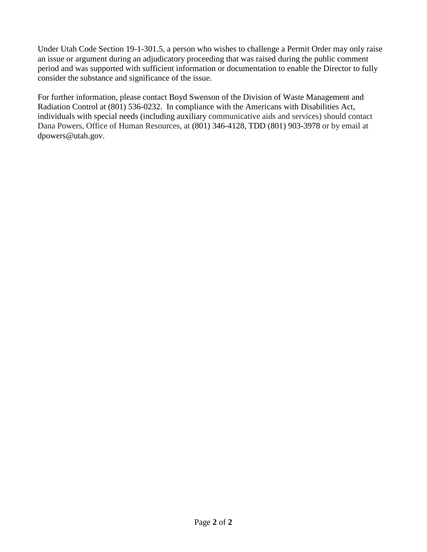Under Utah Code Section 19-1-301.5, a person who wishes to challenge a Permit Order may only raise an issue or argument during an adjudicatory proceeding that was raised during the public comment period and was supported with sufficient information or documentation to enable the Director to fully consider the substance and significance of the issue.

For further information, please contact Boyd Swenson of the Division of Waste Management and Radiation Control at (801) 536-0232. In compliance with the Americans with Disabilities Act, individuals with special needs (including auxiliary communicative aids and services) should contact Dana Powers, Office of Human Resources, at (801) 346-4128, TDD (801) 903-3978 or by email at dpowers@utah.gov.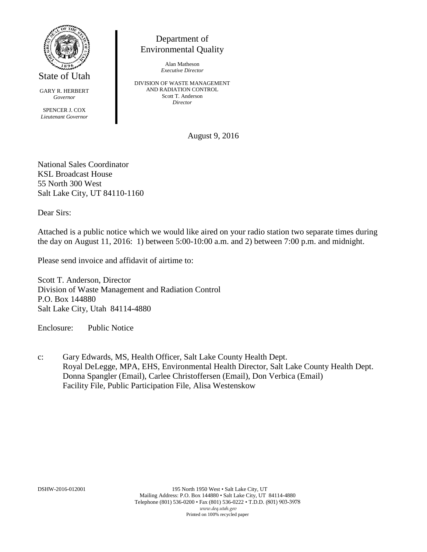

GARY R. HERBERT *Governor*

SPENCER J. COX *Lieutenant Governor*

# Department of Environmental Quality

Alan Matheson *Executive Director*

DIVISION OF WASTE MANAGEMENT AND RADIATION CONTROL Scott T. Anderson *Director*

August 9, 2016

National Sales Coordinator KSL Broadcast House 55 North 300 West Salt Lake City, UT 84110-1160

Dear Sirs:

Attached is a public notice which we would like aired on your radio station two separate times during the day on August 11, 2016: 1) between 5:00-10:00 a.m. and 2) between 7:00 p.m. and midnight.

Please send invoice and affidavit of airtime to:

Scott T. Anderson, Director Division of Waste Management and Radiation Control P.O. Box 144880 Salt Lake City, Utah 84114-4880

Enclosure: Public Notice

c: Gary Edwards, MS, Health Officer, Salt Lake County Health Dept. Royal DeLegge, MPA, EHS, Environmental Health Director, Salt Lake County Health Dept. Donna Spangler (Email), Carlee Christoffersen (Email), Don Verbica (Email) Facility File, Public Participation File, Alisa Westenskow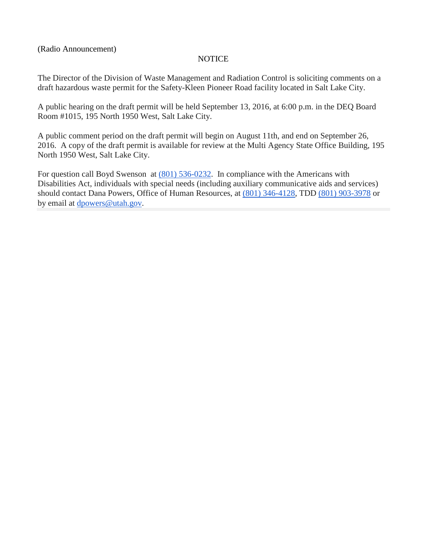(Radio Announcement)

### NOTICE

The Director of the Division of Waste Management and Radiation Control is soliciting comments on a draft hazardous waste permit for the Safety-Kleen Pioneer Road facility located in Salt Lake City.

A public hearing on the draft permit will be held September 13, 2016, at 6:00 p.m. in the DEQ Board Room #1015, 195 North 1950 West, Salt Lake City.

A public comment period on the draft permit will begin on August 11th, and end on September 26, 2016. A copy of the draft permit is available for review at the Multi Agency State Office Building, 195 North 1950 West, Salt Lake City.

For question call Boyd Swenson at [\(801\) 536-0232.](tel:%28801%29%20536-0232) In compliance with the Americans with Disabilities Act, individuals with special needs (including auxiliary communicative aids and services) should contact Dana Powers, Office of Human Resources, at [\(801\) 346-4128,](tel:%28801%29%20346-4128) TDD [\(801\) 903-3978](tel:%28801%29%20903-3978) or by email at [dpowers@utah.gov.](mailto:dpowers@utah.gov)